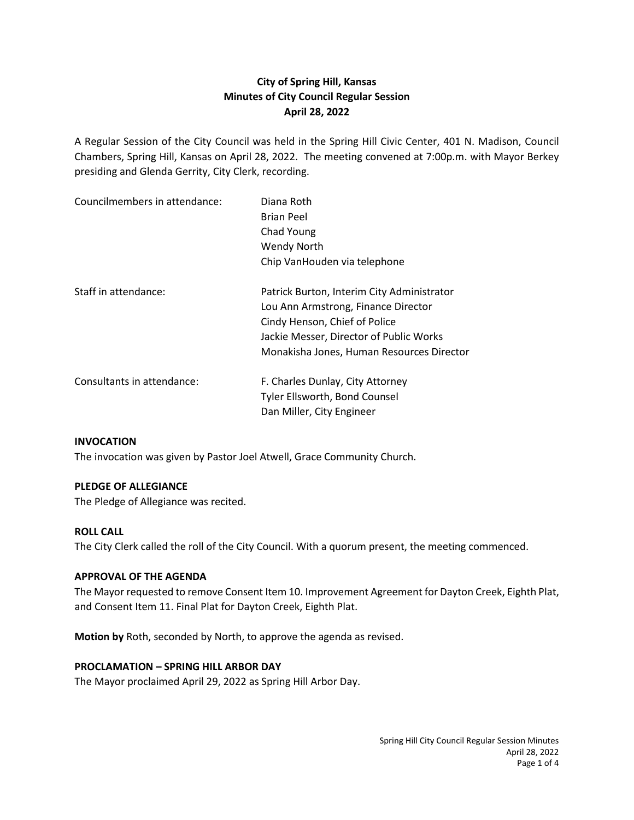# **City of Spring Hill, Kansas Minutes of City Council Regular Session April 28, 2022**

A Regular Session of the City Council was held in the Spring Hill Civic Center, 401 N. Madison, Council Chambers, Spring Hill, Kansas on April 28, 2022. The meeting convened at 7:00p.m. with Mayor Berkey presiding and Glenda Gerrity, City Clerk, recording.

| Councilmembers in attendance: | Diana Roth<br><b>Brian Peel</b><br>Chad Young<br><b>Wendy North</b><br>Chip VanHouden via telephone                                                                                                        |
|-------------------------------|------------------------------------------------------------------------------------------------------------------------------------------------------------------------------------------------------------|
| Staff in attendance:          | Patrick Burton, Interim City Administrator<br>Lou Ann Armstrong, Finance Director<br>Cindy Henson, Chief of Police<br>Jackie Messer, Director of Public Works<br>Monakisha Jones, Human Resources Director |
| Consultants in attendance:    | F. Charles Dunlay, City Attorney<br><b>Tyler Ellsworth, Bond Counsel</b><br>Dan Miller, City Engineer                                                                                                      |

### **INVOCATION**

The invocation was given by Pastor Joel Atwell, Grace Community Church.

### **PLEDGE OF ALLEGIANCE**

The Pledge of Allegiance was recited.

# **ROLL CALL**

The City Clerk called the roll of the City Council. With a quorum present, the meeting commenced.

### **APPROVAL OF THE AGENDA**

The Mayor requested to remove Consent Item 10. Improvement Agreement for Dayton Creek, Eighth Plat, and Consent Item 11. Final Plat for Dayton Creek, Eighth Plat.

**Motion by** Roth, seconded by North, to approve the agenda as revised.

### **PROCLAMATION – SPRING HILL ARBOR DAY**

The Mayor proclaimed April 29, 2022 as Spring Hill Arbor Day.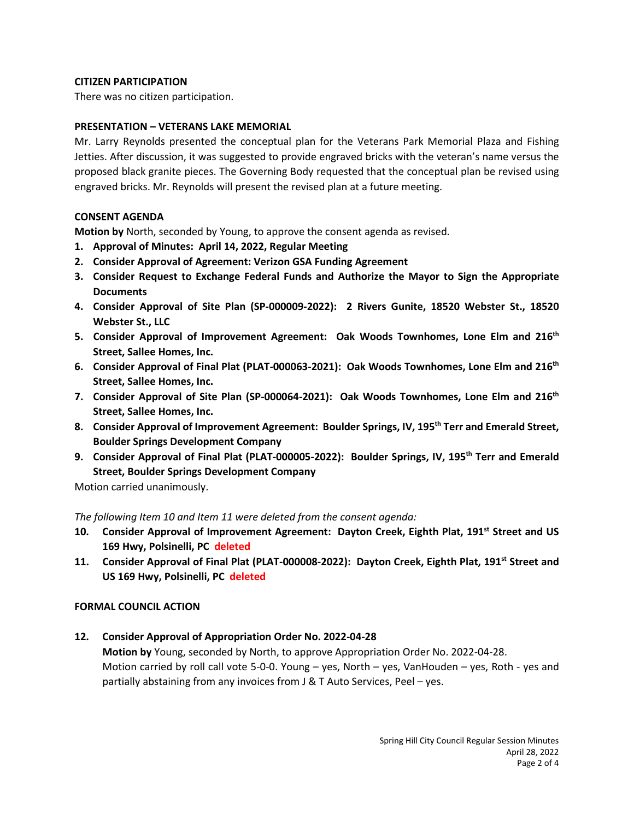### **CITIZEN PARTICIPATION**

There was no citizen participation.

# **PRESENTATION – VETERANS LAKE MEMORIAL**

Mr. Larry Reynolds presented the conceptual plan for the Veterans Park Memorial Plaza and Fishing Jetties. After discussion, it was suggested to provide engraved bricks with the veteran's name versus the proposed black granite pieces. The Governing Body requested that the conceptual plan be revised using engraved bricks. Mr. Reynolds will present the revised plan at a future meeting.

# **CONSENT AGENDA**

**Motion by** North, seconded by Young, to approve the consent agenda as revised.

- **1. Approval of Minutes: April 14, 2022, Regular Meeting**
- **2. Consider Approval of Agreement: Verizon GSA Funding Agreement**
- **3. Consider Request to Exchange Federal Funds and Authorize the Mayor to Sign the Appropriate Documents**
- **4. Consider Approval of Site Plan (SP-000009-2022): 2 Rivers Gunite, 18520 Webster St., 18520 Webster St., LLC**
- **5. Consider Approval of Improvement Agreement: Oak Woods Townhomes, Lone Elm and 216th Street, Sallee Homes, Inc.**
- **6. Consider Approval of Final Plat (PLAT-000063-2021): Oak Woods Townhomes, Lone Elm and 216th Street, Sallee Homes, Inc.**
- **7. Consider Approval of Site Plan (SP-000064-2021): Oak Woods Townhomes, Lone Elm and 216th Street, Sallee Homes, Inc.**
- **8. Consider Approval of Improvement Agreement: Boulder Springs, IV, 195th Terr and Emerald Street, Boulder Springs Development Company**
- **9. Consider Approval of Final Plat (PLAT-000005-2022): Boulder Springs, IV, 195th Terr and Emerald Street, Boulder Springs Development Company**

Motion carried unanimously.

*The following Item 10 and Item 11 were deleted from the consent agenda:*

- 10. Consider Approval of Improvement Agreement: Dayton Creek, Eighth Plat, 191<sup>st</sup> Street and US **169 Hwy, Polsinelli, PC deleted**
- **11. Consider Approval of Final Plat (PLAT-000008-2022): Dayton Creek, Eighth Plat, 191st Street and US 169 Hwy, Polsinelli, PC deleted**

### **FORMAL COUNCIL ACTION**

**12. Consider Approval of Appropriation Order No. 2022-04-28**

**Motion by** Young, seconded by North, to approve Appropriation Order No. 2022-04-28. Motion carried by roll call vote 5-0-0. Young – yes, North – yes, VanHouden – yes, Roth - yes and partially abstaining from any invoices from J & T Auto Services, Peel – yes.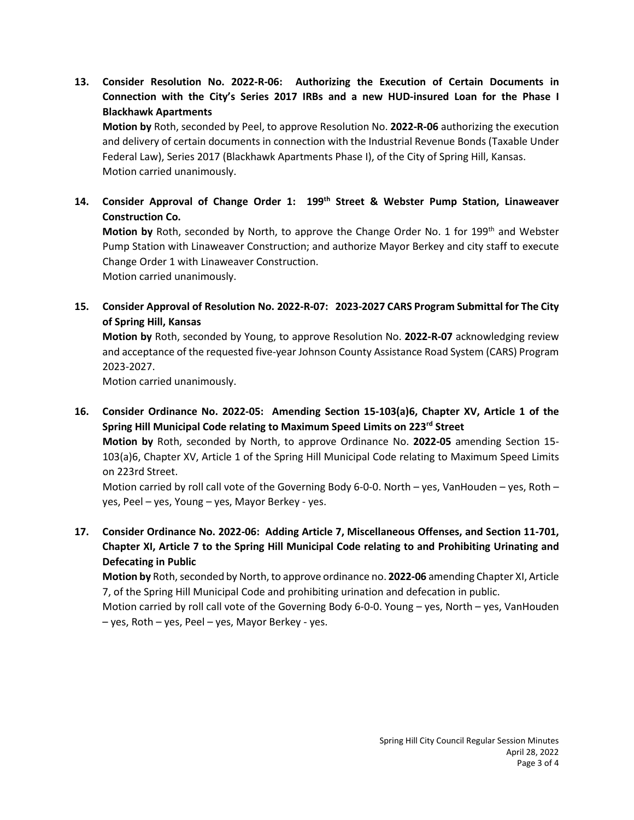**13. Consider Resolution No. 2022-R-06: Authorizing the Execution of Certain Documents in Connection with the City's Series 2017 IRBs and a new HUD-insured Loan for the Phase I Blackhawk Apartments**

**Motion by** Roth, seconded by Peel, to approve Resolution No. **2022-R-06** authorizing the execution and delivery of certain documents in connection with the Industrial Revenue Bonds (Taxable Under Federal Law), Series 2017 (Blackhawk Apartments Phase I), of the City of Spring Hill, Kansas. Motion carried unanimously.

**14. Consider Approval of Change Order 1: 199th Street & Webster Pump Station, Linaweaver Construction Co.**

**Motion by** Roth, seconded by North, to approve the Change Order No. 1 for 199<sup>th</sup> and Webster Pump Station with Linaweaver Construction; and authorize Mayor Berkey and city staff to execute Change Order 1 with Linaweaver Construction.

Motion carried unanimously.

**15. Consider Approval of Resolution No. 2022-R-07: 2023-2027 CARS Program Submittal for The City of Spring Hill, Kansas**

**Motion by** Roth, seconded by Young, to approve Resolution No. **2022-R-07** acknowledging review and acceptance of the requested five-year Johnson County Assistance Road System (CARS) Program 2023-2027.

Motion carried unanimously.

**16. Consider Ordinance No. 2022-05: Amending Section 15-103(a)6, Chapter XV, Article 1 of the Spring Hill Municipal Code relating to Maximum Speed Limits on 223rd Street**

**Motion by** Roth, seconded by North, to approve Ordinance No. **2022-05** amending Section 15- 103(a)6, Chapter XV, Article 1 of the Spring Hill Municipal Code relating to Maximum Speed Limits on 223rd Street.

Motion carried by roll call vote of the Governing Body 6-0-0. North – yes, VanHouden – yes, Roth – yes, Peel – yes, Young – yes, Mayor Berkey - yes.

**17. Consider Ordinance No. 2022-06: Adding Article 7, Miscellaneous Offenses, and Section 11-701, Chapter XI, Article 7 to the Spring Hill Municipal Code relating to and Prohibiting Urinating and Defecating in Public**

**Motion by** Roth, seconded by North, to approve ordinance no. **2022-06** amending Chapter XI, Article 7, of the Spring Hill Municipal Code and prohibiting urination and defecation in public.

Motion carried by roll call vote of the Governing Body 6-0-0. Young – yes, North – yes, VanHouden – yes, Roth – yes, Peel – yes, Mayor Berkey - yes.